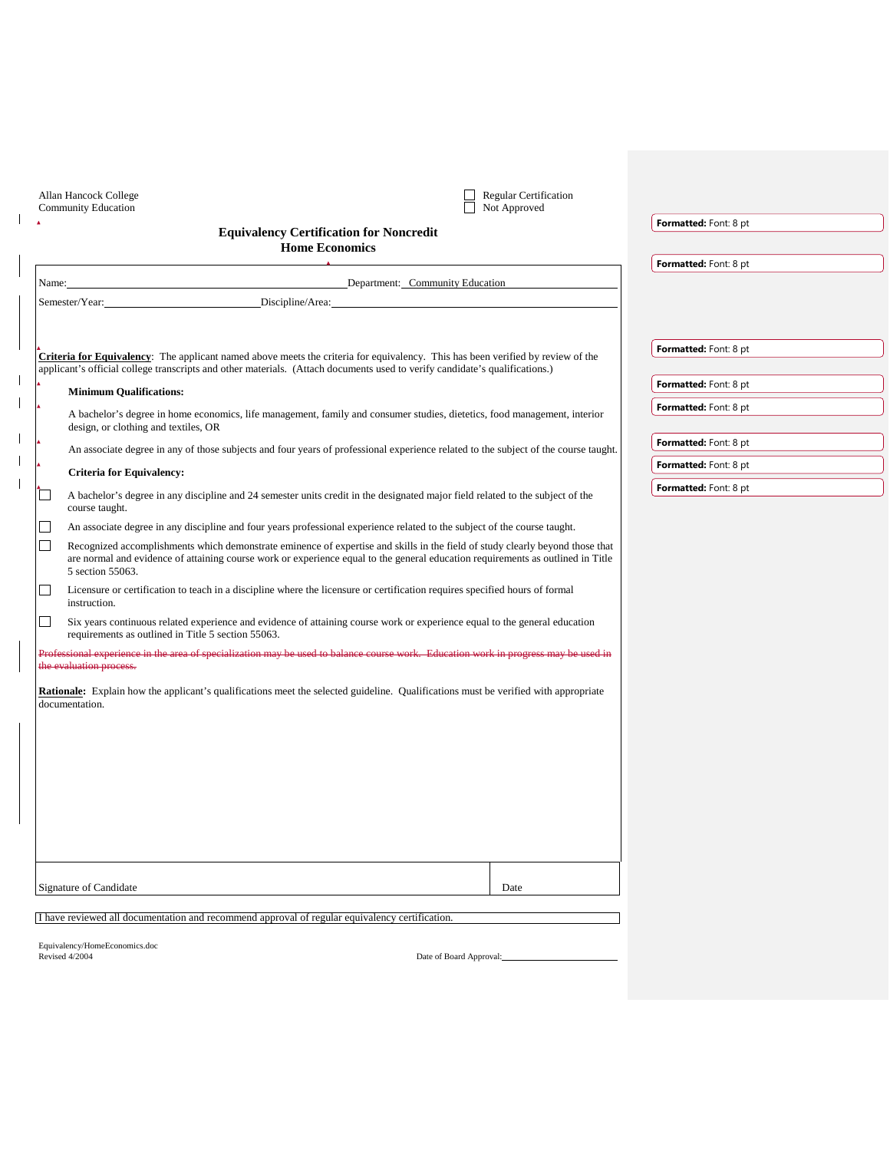| Allan Hancock College<br>Community Education |                                                                                                                             |                                                                                                                                                                                                                                                                  | Regular Certification<br>Not Approved |                              |  |
|----------------------------------------------|-----------------------------------------------------------------------------------------------------------------------------|------------------------------------------------------------------------------------------------------------------------------------------------------------------------------------------------------------------------------------------------------------------|---------------------------------------|------------------------------|--|
|                                              |                                                                                                                             | <b>Equivalency Certification for Noncredit</b>                                                                                                                                                                                                                   |                                       | Formatted: Font: 8 pt        |  |
|                                              |                                                                                                                             | <b>Home Economics</b>                                                                                                                                                                                                                                            |                                       |                              |  |
|                                              |                                                                                                                             |                                                                                                                                                                                                                                                                  |                                       | Formatted: Font: 8 pt        |  |
| Name:                                        |                                                                                                                             | Department: Community Education                                                                                                                                                                                                                                  |                                       |                              |  |
|                                              | Semester/Year:                                                                                                              | Discipline/Area:                                                                                                                                                                                                                                                 |                                       |                              |  |
|                                              |                                                                                                                             |                                                                                                                                                                                                                                                                  |                                       |                              |  |
|                                              |                                                                                                                             |                                                                                                                                                                                                                                                                  |                                       | Formatted: Font: 8 pt        |  |
|                                              |                                                                                                                             | Criteria for Equivalency: The applicant named above meets the criteria for equivalency. This has been verified by review of the                                                                                                                                  |                                       |                              |  |
|                                              | applicant's official college transcripts and other materials. (Attach documents used to verify candidate's qualifications.) |                                                                                                                                                                                                                                                                  | <b>Formatted:</b> Font: 8 pt          |                              |  |
|                                              | <b>Minimum Qualifications:</b>                                                                                              |                                                                                                                                                                                                                                                                  |                                       | <b>Formatted:</b> Font: 8 pt |  |
|                                              | design, or clothing and textiles, OR                                                                                        | A bachelor's degree in home economics, life management, family and consumer studies, dietetics, food management, interior                                                                                                                                        |                                       |                              |  |
|                                              |                                                                                                                             |                                                                                                                                                                                                                                                                  |                                       | <b>Formatted:</b> Font: 8 pt |  |
|                                              |                                                                                                                             | An associate degree in any of those subjects and four years of professional experience related to the subject of the course taught.                                                                                                                              |                                       |                              |  |
|                                              | <b>Criteria for Equivalency:</b>                                                                                            |                                                                                                                                                                                                                                                                  |                                       | <b>Formatted:</b> Font: 8 pt |  |
|                                              | course taught.                                                                                                              | A bachelor's degree in any discipline and 24 semester units credit in the designated major field related to the subject of the                                                                                                                                   |                                       | Formatted: Font: 8 pt        |  |
| $\vert \ \ \vert$                            |                                                                                                                             | An associate degree in any discipline and four years professional experience related to the subject of the course taught.                                                                                                                                        |                                       |                              |  |
| $\Box$                                       | 5 section 55063.                                                                                                            | Recognized accomplishments which demonstrate eminence of expertise and skills in the field of study clearly beyond those that<br>are normal and evidence of attaining course work or experience equal to the general education requirements as outlined in Title |                                       |                              |  |
|                                              | instruction.                                                                                                                | Licensure or certification to teach in a discipline where the licensure or certification requires specified hours of formal                                                                                                                                      |                                       |                              |  |
| $\Box$                                       | requirements as outlined in Title 5 section 55063.                                                                          | Six years continuous related experience and evidence of attaining course work or experience equal to the general education                                                                                                                                       |                                       |                              |  |
|                                              | the evaluation process.                                                                                                     | Professional experience in the area of specialization may be used to balance course work. Education work in progress may be used in                                                                                                                              |                                       |                              |  |
|                                              | documentation.                                                                                                              | <b>Rationale:</b> Explain how the applicant's qualifications meet the selected guideline. Qualifications must be verified with appropriate                                                                                                                       |                                       |                              |  |
|                                              |                                                                                                                             |                                                                                                                                                                                                                                                                  |                                       |                              |  |
|                                              |                                                                                                                             |                                                                                                                                                                                                                                                                  |                                       |                              |  |
|                                              |                                                                                                                             |                                                                                                                                                                                                                                                                  |                                       |                              |  |
|                                              |                                                                                                                             |                                                                                                                                                                                                                                                                  |                                       |                              |  |
|                                              | Signature of Candidate                                                                                                      |                                                                                                                                                                                                                                                                  | Date                                  |                              |  |
|                                              |                                                                                                                             | I have reviewed all documentation and recommend approval of regular equivalency certification.                                                                                                                                                                   |                                       |                              |  |
|                                              | Equivalency/HomeEconomics.doc                                                                                               |                                                                                                                                                                                                                                                                  |                                       |                              |  |

Equivalency/Ho

 $\begin{array}{c} \rule{0pt}{2ex} \rule{0pt}{2ex} \rule{0pt}{2ex} \rule{0pt}{2ex} \rule{0pt}{2ex} \rule{0pt}{2ex} \rule{0pt}{2ex} \rule{0pt}{2ex} \rule{0pt}{2ex} \rule{0pt}{2ex} \rule{0pt}{2ex} \rule{0pt}{2ex} \rule{0pt}{2ex} \rule{0pt}{2ex} \rule{0pt}{2ex} \rule{0pt}{2ex} \rule{0pt}{2ex} \rule{0pt}{2ex} \rule{0pt}{2ex} \rule{0pt}{2ex} \rule{0pt}{2ex} \rule{0pt}{2ex} \rule{0pt}{2ex} \rule{0pt}{$ 

 $\mathbf{I}$  $\mathbf{I}$ 

 $\mathbf{I}$  $\mathbf{l}$  $\hat{\mathbf{I}}$ 

Date of Board Approval: